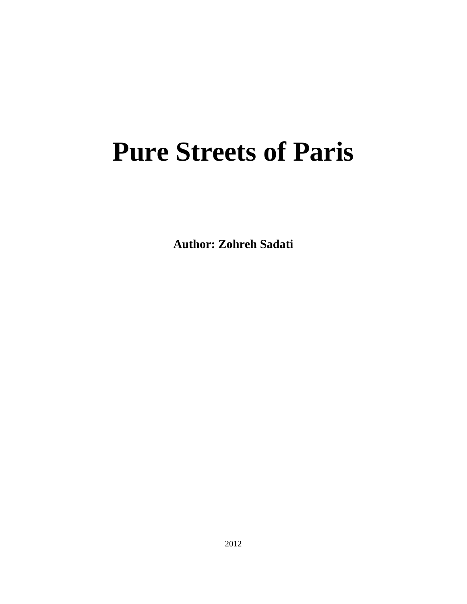## **Pure Streets of Paris**

**Author: Zohreh Sadati**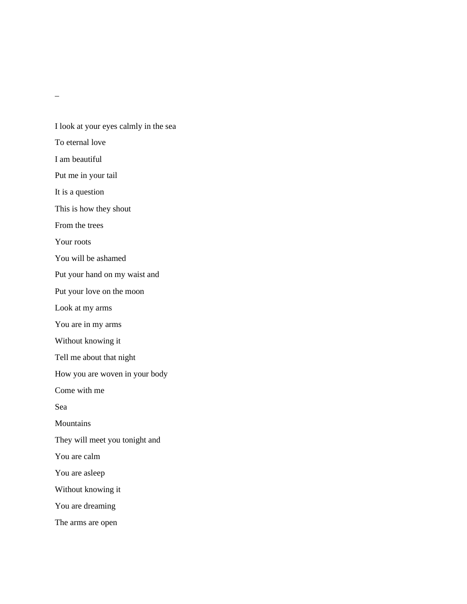\_

I look at your eyes calmly in the sea To eternal love I am beautiful Put me in your tail It is a question This is how they shout From the trees Your roots You will be ashamed Put your hand on my waist and Put your love on the moon Look at my arms You are in my arms Without knowing it Tell me about that night How you are woven in your body Come with me Sea Mountains They will meet you tonight and You are calm You are asleep Without knowing it You are dreaming

The arms are open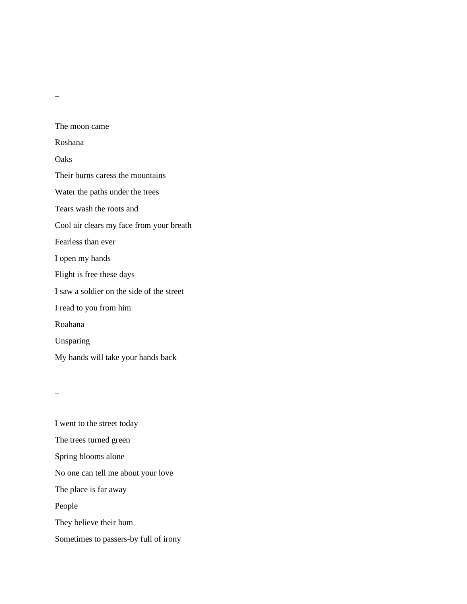The moon came Roshana **Oaks** Their burns caress the mountains Water the paths under the trees Tears wash the roots and Cool air clears my face from your breath Fearless than ever I open my hands Flight is free these days I saw a soldier on the side of the street I read to you from him Roahana Unsparing My hands will take your hands back

 $\overline{a}$ 

I went to the street today The trees turned green Spring blooms alone No one can tell me about your love The place is far away People They believe their hum Sometimes to passers-by full of irony

\_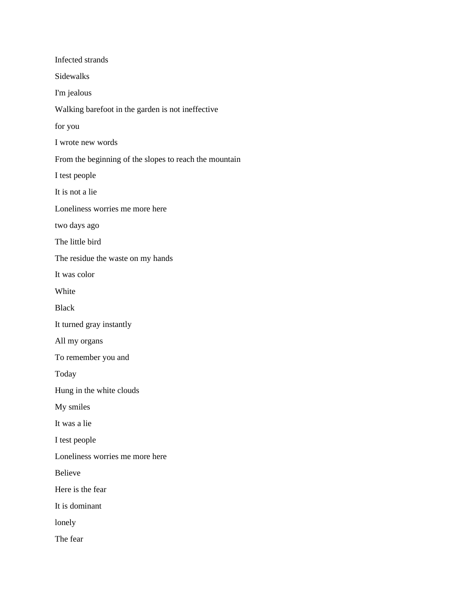| Infected strands                                       |
|--------------------------------------------------------|
| Sidewalks                                              |
| I'm jealous                                            |
| Walking barefoot in the garden is not ineffective      |
| for you                                                |
| I wrote new words                                      |
| From the beginning of the slopes to reach the mountain |
| I test people                                          |
| It is not a lie                                        |
| Loneliness worries me more here                        |
| two days ago                                           |
| The little bird                                        |
| The residue the waste on my hands                      |
| It was color                                           |
| White                                                  |
| <b>Black</b>                                           |
| It turned gray instantly                               |
| All my organs                                          |
| To remember you and                                    |
| Today                                                  |
| Hung in the white clouds                               |
| My smiles                                              |
| It was a lie                                           |
| I test people                                          |
| Loneliness worries me more here                        |
| <b>Believe</b>                                         |
| Here is the fear                                       |
| It is dominant                                         |
| lonely                                                 |
| The fear                                               |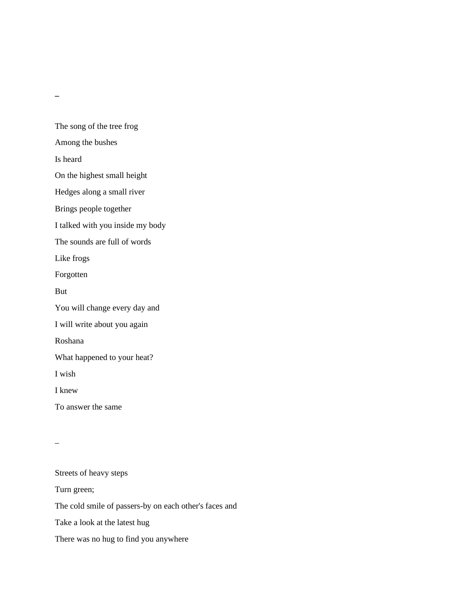**\_**

The song of the tree frog Among the bushes Is heard On the highest small height Hedges along a small river Brings people together I talked with you inside my body The sounds are full of words Like frogs Forgotten But You will change every day and I will write about you again Roshana What happened to your heat? I wish I knew To answer the same

\_

Streets of heavy steps Turn green; The cold smile of passers-by on each other's faces and Take a look at the latest hug There was no hug to find you anywhere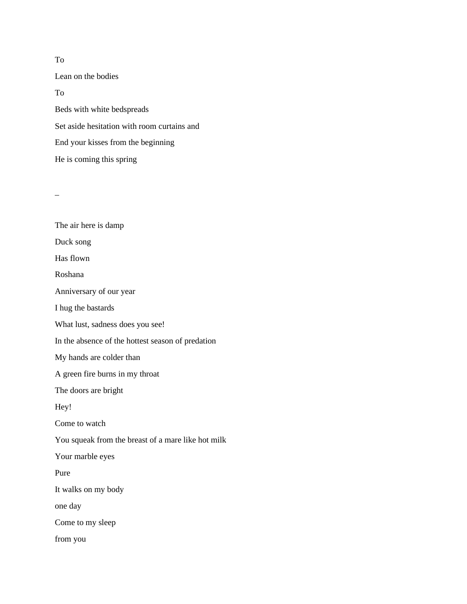Lean on the bodies To Beds with white bedspreads Set aside hesitation with room curtains and End your kisses from the beginning He is coming this spring

 $\overline{\phantom{0}}$ 

| The air here is damp                               |
|----------------------------------------------------|
| Duck song                                          |
| Has flown                                          |
| Roshana                                            |
| Anniversary of our year                            |
| I hug the bastards                                 |
| What lust, sadness does you see!                   |
| In the absence of the hottest season of predation  |
| My hands are colder than                           |
| A green fire burns in my throat                    |
| The doors are bright                               |
| Hey!                                               |
| Come to watch                                      |
| You squeak from the breast of a mare like hot milk |
| Your marble eyes                                   |
| Pure                                               |
| It walks on my body                                |
| one day                                            |
| Come to my sleep                                   |
| from you                                           |

#### To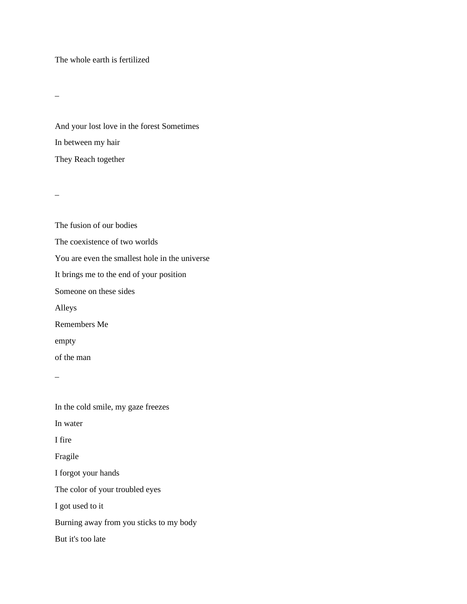The whole earth is fertilized

\_

And your lost love in the forest Sometimes In between my hair They Reach together

 $\equiv$ 

The fusion of our bodies The coexistence of two worlds You are even the smallest hole in the universe It brings me to the end of your position Someone on these sides Alleys Remembers Me empty of the man \_ In the cold smile, my gaze freezes In water I fire

Fragile I forgot your hands The color of your troubled eyes I got used to it Burning away from you sticks to my body

But it's too late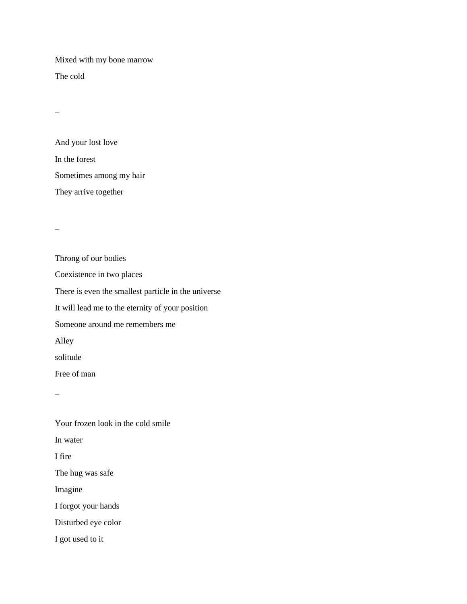Mixed with my bone marrow

The cold

 $\overline{a}$ 

And your lost love In the forest Sometimes among my hair They arrive together

 $\overline{\phantom{0}}$ 

Throng of our bodies Coexistence in two places There is even the smallest particle in the universe It will lead me to the eternity of your position Someone around me remembers me Alley solitude Free of man

 $\overline{\phantom{0}}$ 

Your frozen look in the cold smile In water I fire The hug was safe Imagine I forgot your hands Disturbed eye color I got used to it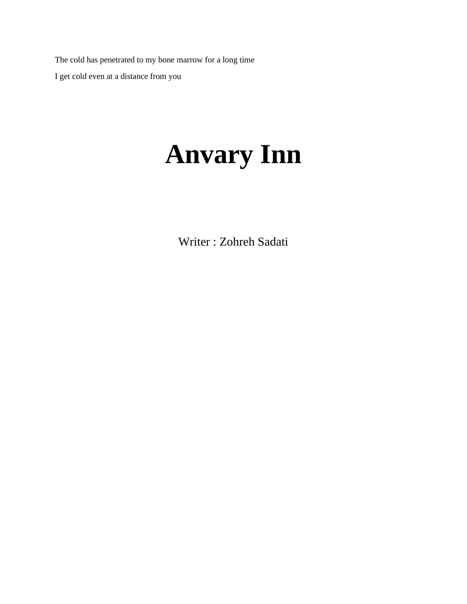The cold has penetrated to my bone marrow for a long time I get cold even at a distance from you

# **Anvary Inn**

Writer : Zohreh Sadati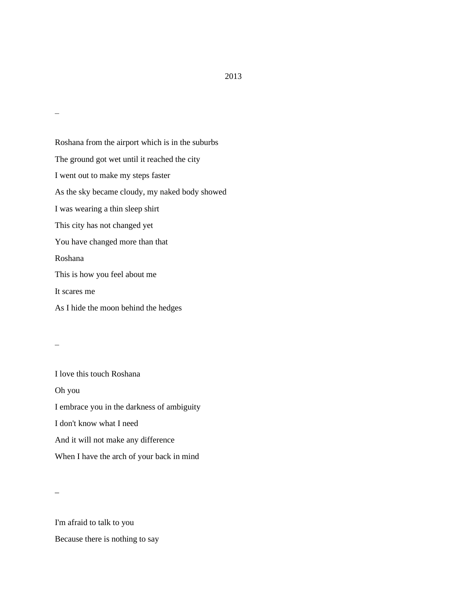Roshana from the airport which is in the suburbs The ground got wet until it reached the city I went out to make my steps faster As the sky became cloudy, my naked body showed I was wearing a thin sleep shirt This city has not changed yet You have changed more than that Roshana This is how you feel about me It scares me As I hide the moon behind the hedges

\_

 $\overline{\phantom{0}}$ 

I love this touch Roshana Oh you I embrace you in the darkness of ambiguity I don't know what I need And it will not make any difference When I have the arch of your back in mind

 $\overline{a}$ 

I'm afraid to talk to you Because there is nothing to say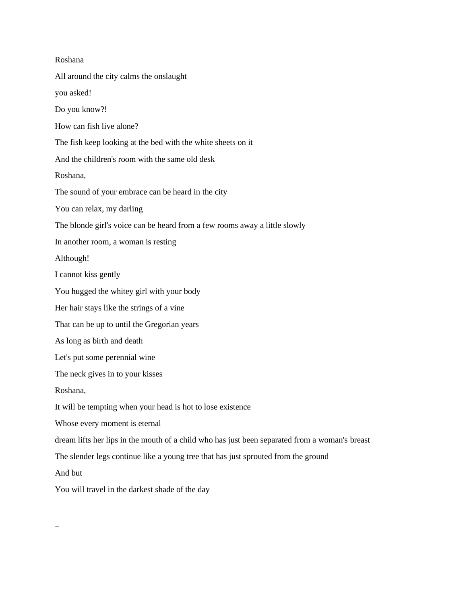| Roshana                                                                                        |
|------------------------------------------------------------------------------------------------|
| All around the city calms the onslaught                                                        |
| you asked!                                                                                     |
| Do you know?!                                                                                  |
| How can fish live alone?                                                                       |
| The fish keep looking at the bed with the white sheets on it                                   |
| And the children's room with the same old desk                                                 |
| Roshana,                                                                                       |
| The sound of your embrace can be heard in the city                                             |
| You can relax, my darling                                                                      |
| The blonde girl's voice can be heard from a few rooms away a little slowly                     |
| In another room, a woman is resting                                                            |
| Although!                                                                                      |
| I cannot kiss gently                                                                           |
| You hugged the whitey girl with your body                                                      |
| Her hair stays like the strings of a vine                                                      |
| That can be up to until the Gregorian years                                                    |
| As long as birth and death                                                                     |
| Let's put some perennial wine                                                                  |
| The neck gives in to your kisses                                                               |
| Roshana,                                                                                       |
| It will be tempting when your head is hot to lose existence                                    |
| Whose every moment is eternal                                                                  |
| dream lifts her lips in the mouth of a child who has just been separated from a woman's breast |
| The slender legs continue like a young tree that has just sprouted from the ground             |
| And but                                                                                        |
| You will travel in the darkest shade of the day                                                |

 $\equiv$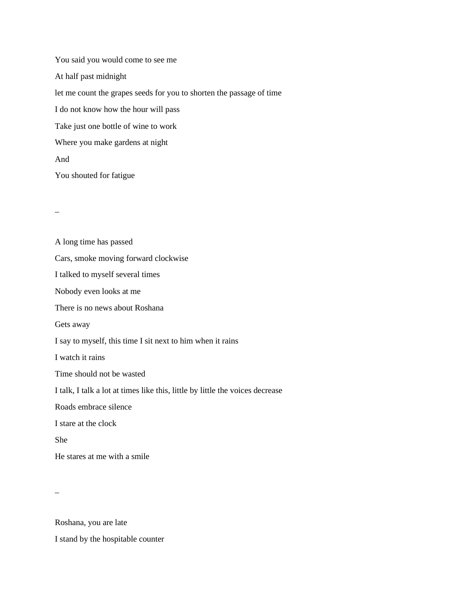You said you would come to see me At half past midnight let me count the grapes seeds for you to shorten the passage of time I do not know how the hour will pass Take just one bottle of wine to work Where you make gardens at night And You shouted for fatigue

 $\overline{a}$ 

A long time has passed Cars, smoke moving forward clockwise I talked to myself several times Nobody even looks at me There is no news about Roshana Gets away I say to myself, this time I sit next to him when it rains I watch it rains Time should not be wasted I talk, I talk a lot at times like this, little by little the voices decrease Roads embrace silence I stare at the clock She He stares at me with a smile

 $\equiv$ 

Roshana, you are late

I stand by the hospitable counter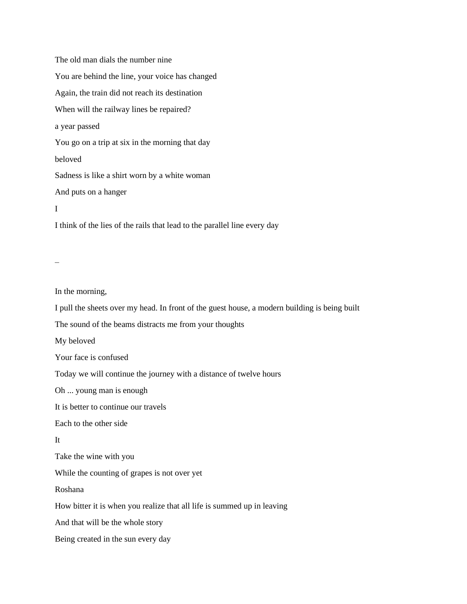The old man dials the number nine You are behind the line, your voice has changed Again, the train did not reach its destination When will the railway lines be repaired? a year passed You go on a trip at six in the morning that day beloved Sadness is like a shirt worn by a white woman And puts on a hanger I I think of the lies of the rails that lead to the parallel line every day

 $\overline{a}$ 

In the morning,

I pull the sheets over my head. In front of the guest house, a modern building is being built

The sound of the beams distracts me from your thoughts

My beloved

Your face is confused

Today we will continue the journey with a distance of twelve hours

Oh ... young man is enough

It is better to continue our travels

Each to the other side

It

Take the wine with you

While the counting of grapes is not over yet

Roshana

How bitter it is when you realize that all life is summed up in leaving

And that will be the whole story

Being created in the sun every day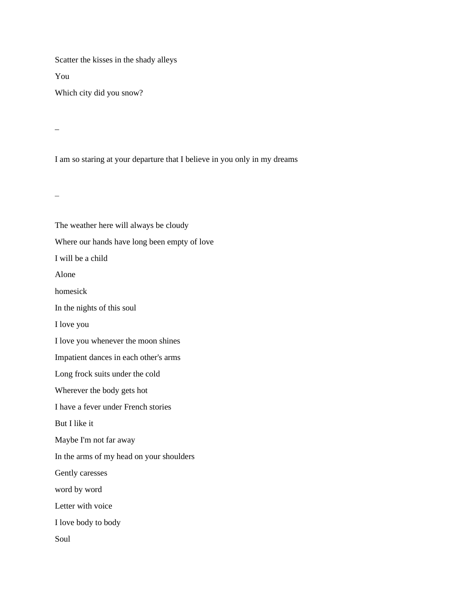Scatter the kisses in the shady alleys

You

Which city did you snow?

\_

I am so staring at your departure that I believe in you only in my dreams

 $\overline{\phantom{0}}$ 

The weather here will always be cloudy Where our hands have long been empty of love I will be a child Alone homesick In the nights of this soul I love you I love you whenever the moon shines Impatient dances in each other's arms Long frock suits under the cold Wherever the body gets hot I have a fever under French stories But I like it Maybe I'm not far away In the arms of my head on your shoulders Gently caresses word by word Letter with voice I love body to body Soul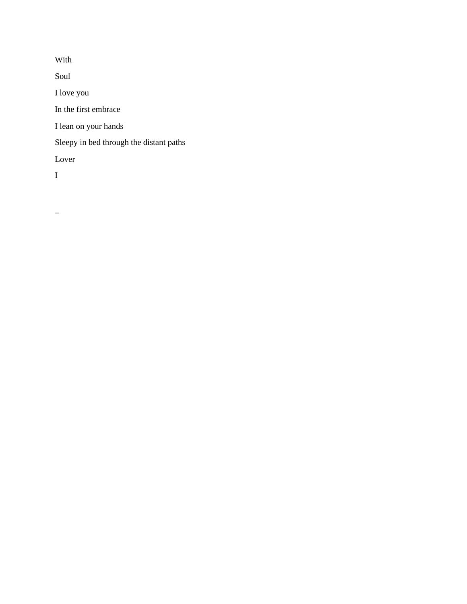With

Soul

I love you

In the first embrace

I lean on your hands

Sleepy in bed through the distant paths

Lover

I

 $\qquad \qquad -$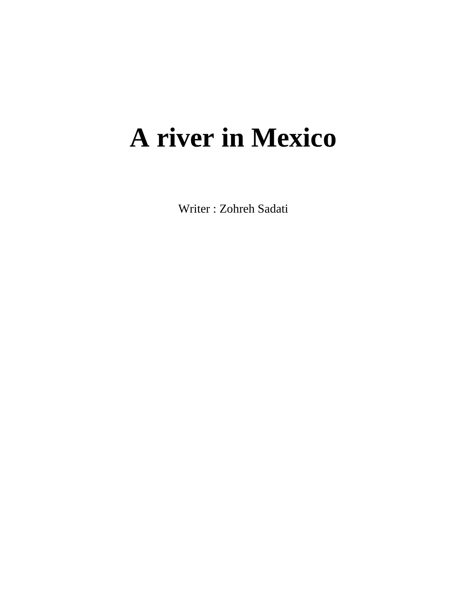# **A river in Mexico**

Writer : Zohreh Sadati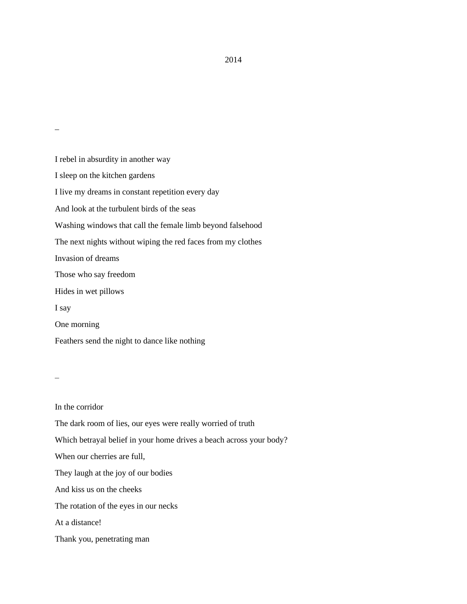I rebel in absurdity in another way I sleep on the kitchen gardens I live my dreams in constant repetition every day And look at the turbulent birds of the seas Washing windows that call the female limb beyond falsehood The next nights without wiping the red faces from my clothes Invasion of dreams Those who say freedom Hides in wet pillows I say One morning Feathers send the night to dance like nothing

 $\mathcal{L}(\mathcal{L})$ 

\_

In the corridor The dark room of lies, our eyes were really worried of truth Which betrayal belief in your home drives a beach across your body? When our cherries are full, They laugh at the joy of our bodies And kiss us on the cheeks The rotation of the eyes in our necks At a distance! Thank you, penetrating man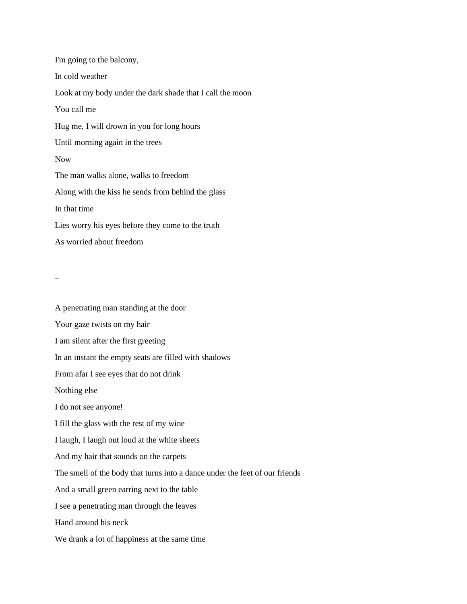I'm going to the balcony, In cold weather Look at my body under the dark shade that I call the moon You call me Hug me, I will drown in you for long hours Until morning again in the trees Now The man walks alone, walks to freedom Along with the kiss he sends from behind the glass In that time Lies worry his eyes before they come to the truth As worried about freedom

 $\mathcal{L}(\mathcal{L})$ 

A penetrating man standing at the door Your gaze twists on my hair I am silent after the first greeting In an instant the empty seats are filled with shadows From afar I see eyes that do not drink Nothing else I do not see anyone! I fill the glass with the rest of my wine I laugh, I laugh out loud at the white sheets And my hair that sounds on the carpets The smell of the body that turns into a dance under the feet of our friends And a small green earring next to the table I see a penetrating man through the leaves Hand around his neck We drank a lot of happiness at the same time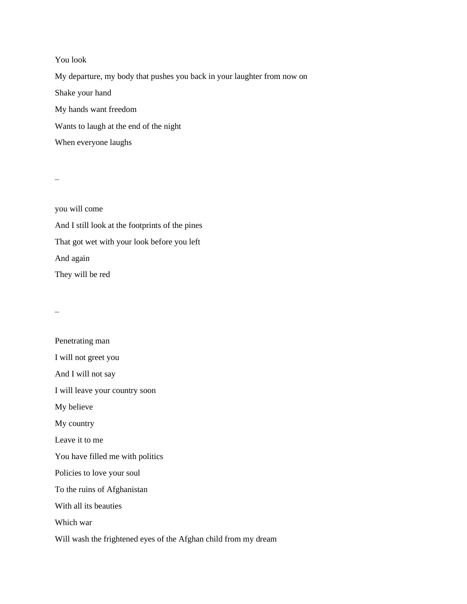You look My departure, my body that pushes you back in your laughter from now on Shake your hand My hands want freedom Wants to laugh at the end of the night When everyone laughs

 $\overline{\phantom{0}}$ 

you will come And I still look at the footprints of the pines That got wet with your look before you left And again They will be red

 $\overline{\phantom{0}}$ 

| Penetrating man                                                 |
|-----------------------------------------------------------------|
| I will not greet you                                            |
| And I will not say                                              |
| I will leave your country soon                                  |
| My believe                                                      |
| My country                                                      |
| Leave it to me                                                  |
| You have filled me with politics                                |
| Policies to love your soul                                      |
| To the ruins of Afghanistan                                     |
| With all its beauties                                           |
| Which war                                                       |
| Will wash the frightened eyes of the Afghan child from my dream |
|                                                                 |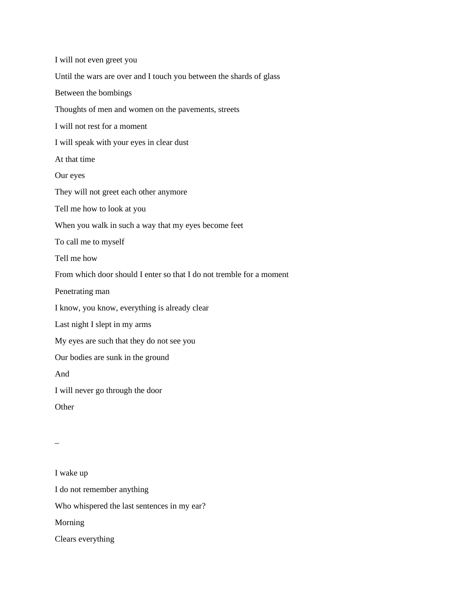I will not even greet you Until the wars are over and I touch you between the shards of glass Between the bombings Thoughts of men and women on the pavements, streets I will not rest for a moment I will speak with your eyes in clear dust At that time Our eyes They will not greet each other anymore Tell me how to look at you When you walk in such a way that my eyes become feet To call me to myself Tell me how From which door should I enter so that I do not tremble for a moment Penetrating man I know, you know, everything is already clear Last night I slept in my arms My eyes are such that they do not see you Our bodies are sunk in the ground And I will never go through the door **Other** \_ I wake up I do not remember anything

Who whispered the last sentences in my ear?

Morning

Clears everything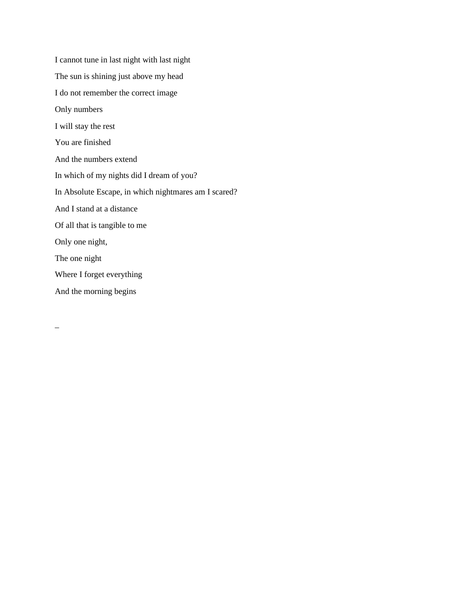I cannot tune in last night with last night The sun is shining just above my head I do not remember the correct image Only numbers I will stay the rest You are finished And the numbers extend In which of my nights did I dream of you? In Absolute Escape, in which nightmares am I scared? And I stand at a distance Of all that is tangible to me Only one night, The one night Where I forget everything And the morning begins

\_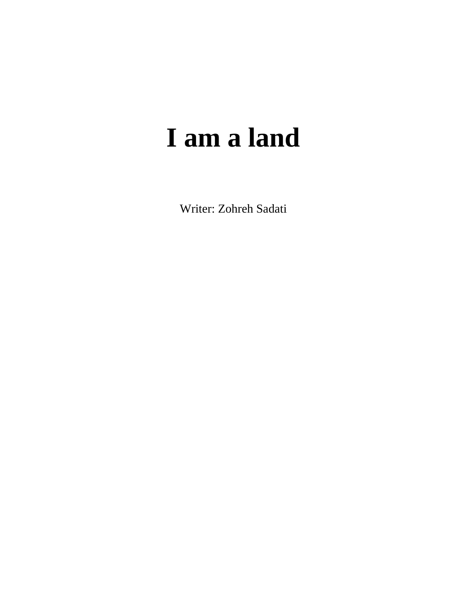## **I am a land**

Writer: Zohreh Sadati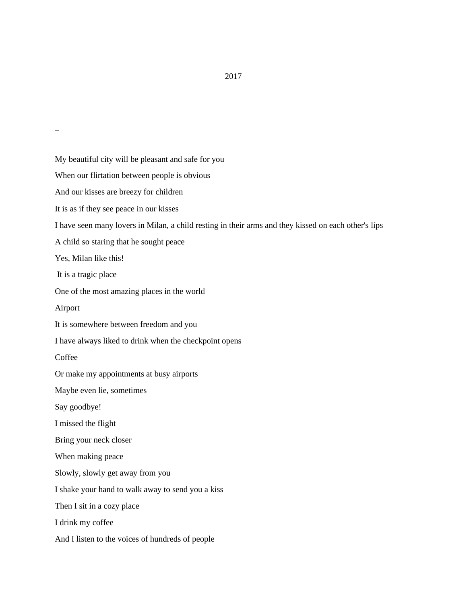My beautiful city will be pleasant and safe for you When our flirtation between people is obvious And our kisses are breezy for children It is as if they see peace in our kisses I have seen many lovers in Milan, a child resting in their arms and they kissed on each other's lips A child so staring that he sought peace Yes, Milan like this! It is a tragic place One of the most amazing places in the world Airport It is somewhere between freedom and you I have always liked to drink when the checkpoint opens **Coffee** Or make my appointments at busy airports Maybe even lie, sometimes Say goodbye! I missed the flight Bring your neck closer When making peace Slowly, slowly get away from you I shake your hand to walk away to send you a kiss Then I sit in a cozy place I drink my coffee And I listen to the voices of hundreds of people

2017

 $\mathcal{L}(\mathcal{L})$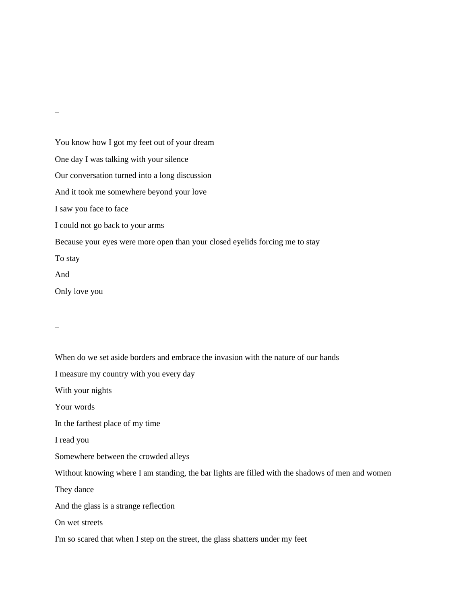You know how I got my feet out of your dream One day I was talking with your silence Our conversation turned into a long discussion And it took me somewhere beyond your love I saw you face to face I could not go back to your arms Because your eyes were more open than your closed eyelids forcing me to stay To stay And Only love you \_

\_

When do we set aside borders and embrace the invasion with the nature of our hands I measure my country with you every day With your nights Your words In the farthest place of my time I read you Somewhere between the crowded alleys Without knowing where I am standing, the bar lights are filled with the shadows of men and women They dance And the glass is a strange reflection On wet streets I'm so scared that when I step on the street, the glass shatters under my feet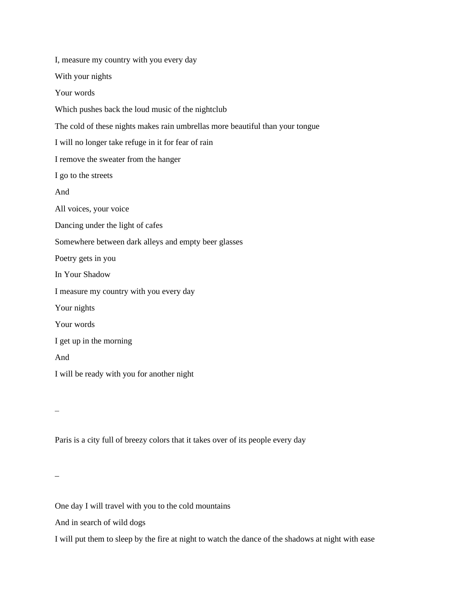| I, measure my country with you every day                                      |
|-------------------------------------------------------------------------------|
| With your nights                                                              |
| Your words                                                                    |
| Which pushes back the loud music of the nightclub                             |
| The cold of these nights makes rain umbrellas more beautiful than your tongue |
| I will no longer take refuge in it for fear of rain                           |
| I remove the sweater from the hanger                                          |
| I go to the streets                                                           |
| And                                                                           |
| All voices, your voice                                                        |
| Dancing under the light of cafes                                              |
| Somewhere between dark alleys and empty beer glasses                          |
| Poetry gets in you                                                            |
| In Your Shadow                                                                |
| I measure my country with you every day                                       |
| Your nights                                                                   |
| Your words                                                                    |
| I get up in the morning                                                       |
| And                                                                           |
| I will be ready with you for another night                                    |
|                                                                               |

 $\qquad \qquad -$ 

Paris is a city full of breezy colors that it takes over of its people every day

 $\equiv$ 

One day I will travel with you to the cold mountains

And in search of wild dogs

I will put them to sleep by the fire at night to watch the dance of the shadows at night with ease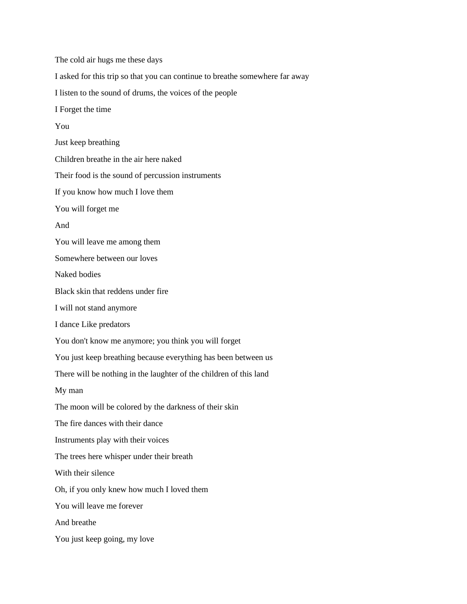The cold air hugs me these days I asked for this trip so that you can continue to breathe somewhere far away I listen to the sound of drums, the voices of the people I Forget the time You Just keep breathing Children breathe in the air here naked Their food is the sound of percussion instruments If you know how much I love them You will forget me And You will leave me among them Somewhere between our loves Naked bodies Black skin that reddens under fire I will not stand anymore I dance Like predators You don't know me anymore; you think you will forget You just keep breathing because everything has been between us There will be nothing in the laughter of the children of this land My man The moon will be colored by the darkness of their skin The fire dances with their dance Instruments play with their voices The trees here whisper under their breath With their silence Oh, if you only knew how much I loved them You will leave me forever And breathe You just keep going, my love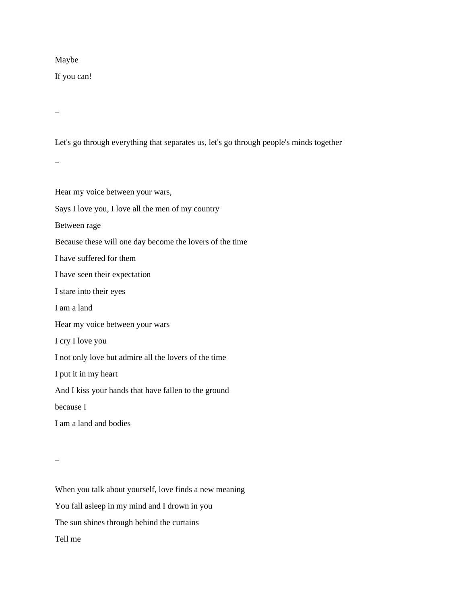#### Maybe

If you can!

\_

Let's go through everything that separates us, let's go through people's minds together

 $\overline{\phantom{0}}$ 

Hear my voice between your wars, Says I love you, I love all the men of my country Between rage Because these will one day become the lovers of the time I have suffered for them I have seen their expectation I stare into their eyes I am a land Hear my voice between your wars I cry I love you I not only love but admire all the lovers of the time I put it in my heart And I kiss your hands that have fallen to the ground because I I am a land and bodies

 $\overline{a}$ 

When you talk about yourself, love finds a new meaning You fall asleep in my mind and I drown in you The sun shines through behind the curtains Tell me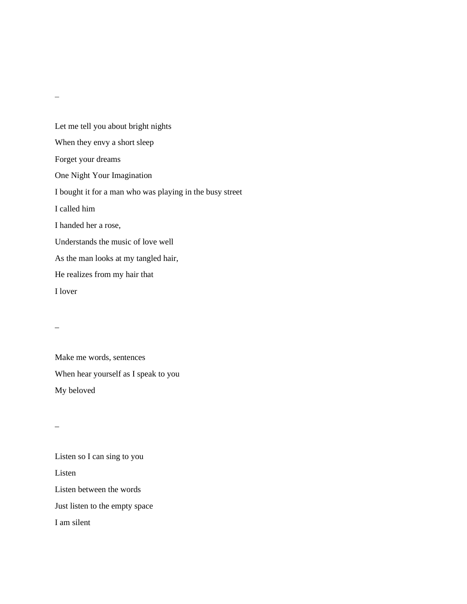Let me tell you about bright nights When they envy a short sleep Forget your dreams One Night Your Imagination I bought it for a man who was playing in the busy street I called him I handed her a rose, Understands the music of love well As the man looks at my tangled hair, He realizes from my hair that I lover

Make me words, sentences When hear yourself as I speak to you My beloved

 $\overline{a}$ 

\_

Listen so I can sing to you Listen Listen between the words Just listen to the empty space I am silent

 $\overline{\phantom{0}}$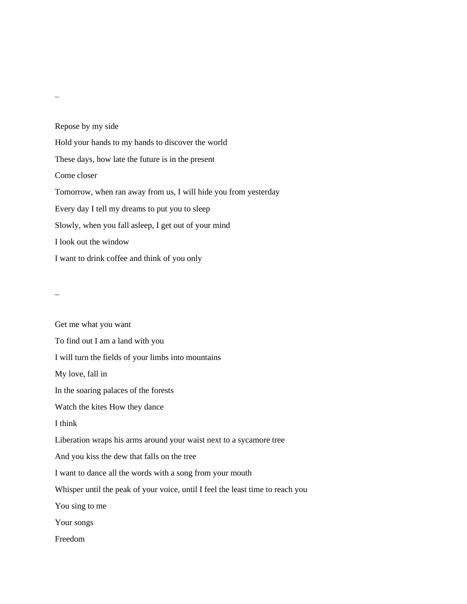Repose by my side Hold your hands to my hands to discover the world These days, how late the future is in the present Come closer Tomorrow, when ran away from us, I will hide you from yesterday Every day I tell my dreams to put you to sleep Slowly, when you fall asleep, I get out of your mind I look out the window I want to drink coffee and think of you only

\_

Get me what you want To find out I am a land with you I will turn the fields of your limbs into mountains My love, fall in In the soaring palaces of the forests Watch the kites How they dance I think Liberation wraps his arms around your waist next to a sycamore tree And you kiss the dew that falls on the tree I want to dance all the words with a song from your mouth Whisper until the peak of your voice, until I feel the least time to reach you You sing to me Your songs Freedom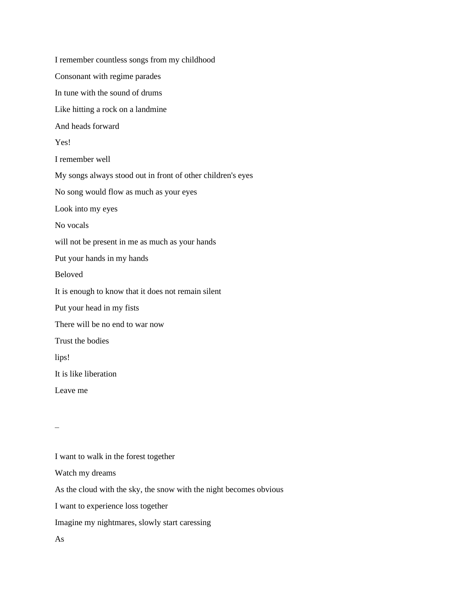I remember countless songs from my childhood Consonant with regime parades In tune with the sound of drums Like hitting a rock on a landmine And heads forward Yes! I remember well My songs always stood out in front of other children's eyes No song would flow as much as your eyes Look into my eyes No vocals will not be present in me as much as your hands Put your hands in my hands Beloved It is enough to know that it does not remain silent Put your head in my fists There will be no end to war now Trust the bodies lips! It is like liberation Leave me

 $\mathcal{L}(\mathcal{L})$ 

I want to walk in the forest together Watch my dreams As the cloud with the sky, the snow with the night becomes obvious I want to experience loss together Imagine my nightmares, slowly start caressing As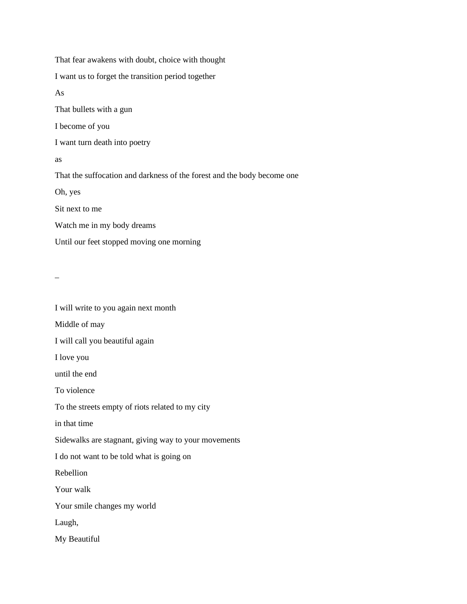That fear awakens with doubt, choice with thought I want us to forget the transition period together As That bullets with a gun I become of you I want turn death into poetry as That the suffocation and darkness of the forest and the body become one Oh, yes Sit next to me Watch me in my body dreams Until our feet stopped moving one morning

\_

I will write to you again next month Middle of may I will call you beautiful again I love you until the end To violence To the streets empty of riots related to my city in that time Sidewalks are stagnant, giving way to your movements I do not want to be told what is going on Rebellion Your walk Your smile changes my world Laugh, My Beautiful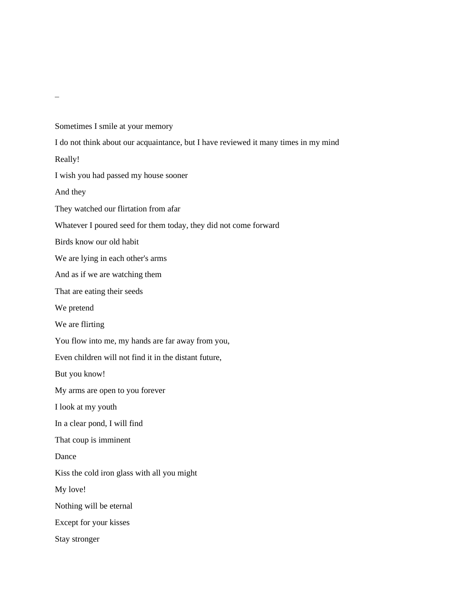Sometimes I smile at your memory I do not think about our acquaintance, but I have reviewed it many times in my mind Really! I wish you had passed my house sooner And they They watched our flirtation from afar Whatever I poured seed for them today, they did not come forward Birds know our old habit We are lying in each other's arms And as if we are watching them That are eating their seeds We pretend We are flirting You flow into me, my hands are far away from you, Even children will not find it in the distant future, But you know! My arms are open to you forever I look at my youth In a clear pond, I will find That coup is imminent Dance Kiss the cold iron glass with all you might My love! Nothing will be eternal Except for your kisses Stay stronger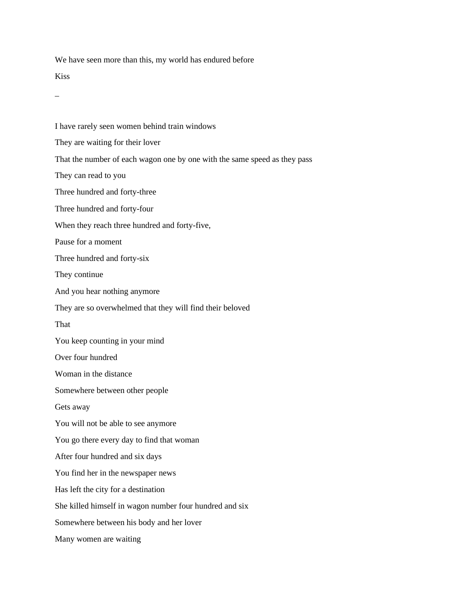We have seen more than this, my world has endured before

Kiss

\_

I have rarely seen women behind train windows They are waiting for their lover That the number of each wagon one by one with the same speed as they pass They can read to you Three hundred and forty-three Three hundred and forty-four When they reach three hundred and forty-five, Pause for a moment Three hundred and forty-six They continue And you hear nothing anymore They are so overwhelmed that they will find their beloved That You keep counting in your mind Over four hundred Woman in the distance Somewhere between other people Gets away You will not be able to see anymore You go there every day to find that woman After four hundred and six days You find her in the newspaper news Has left the city for a destination She killed himself in wagon number four hundred and six Somewhere between his body and her lover Many women are waiting